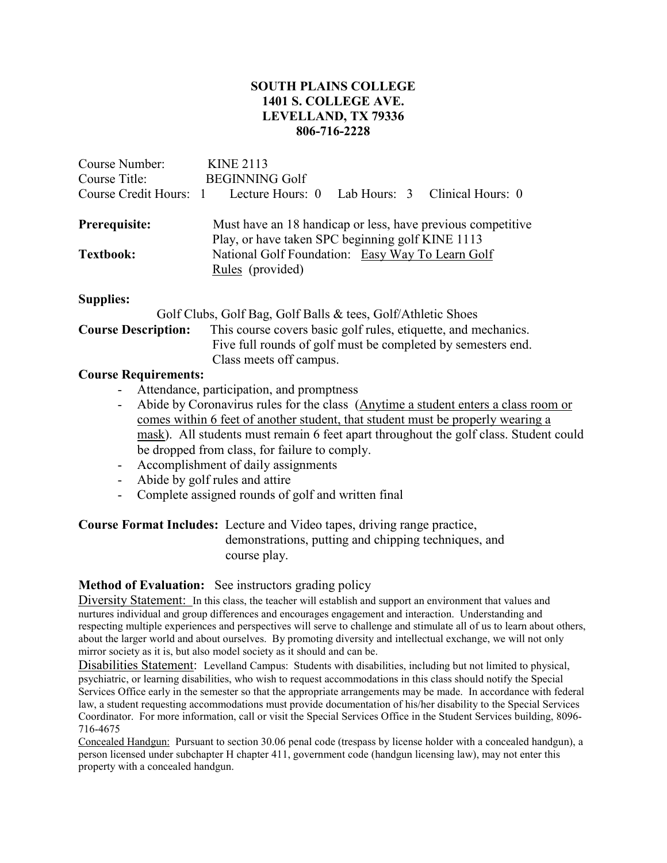## **SOUTH PLAINS COLLEGE 1401 S. COLLEGE AVE. LEVELLAND, TX 79336 806-716-2228**

| Lab Hours: 3 Clinical Hours: 0                                                                                                 |  |  |
|--------------------------------------------------------------------------------------------------------------------------------|--|--|
| Must have an 18 handicap or less, have previous competitive<br>Play, or have taken SPC beginning golf KINE 1113                |  |  |
| National Golf Foundation: Easy Way To Learn Golf<br>Rules (provided)                                                           |  |  |
|                                                                                                                                |  |  |
|                                                                                                                                |  |  |
| This course covers basic golf rules, etiquette, and mechanics.<br>Five full rounds of golf must be completed by semesters end. |  |  |
|                                                                                                                                |  |  |

# **Course Requirements:**

- Attendance, participation, and promptness
- Abide by Coronavirus rules for the class (Anytime a student enters a class room or comes within 6 feet of another student, that student must be properly wearing a mask). All students must remain 6 feet apart throughout the golf class. Student could be dropped from class, for failure to comply.
- Accomplishment of daily assignments
- Abide by golf rules and attire
- Complete assigned rounds of golf and written final

#### **Course Format Includes:** Lecture and Video tapes, driving range practice, demonstrations, putting and chipping techniques, and course play.

#### **Method of Evaluation:** See instructors grading policy

Diversity Statement: In this class, the teacher will establish and support an environment that values and nurtures individual and group differences and encourages engagement and interaction. Understanding and respecting multiple experiences and perspectives will serve to challenge and stimulate all of us to learn about others, about the larger world and about ourselves. By promoting diversity and intellectual exchange, we will not only mirror society as it is, but also model society as it should and can be.

Disabilities Statement: Levelland Campus: Students with disabilities, including but not limited to physical, psychiatric, or learning disabilities, who wish to request accommodations in this class should notify the Special Services Office early in the semester so that the appropriate arrangements may be made. In accordance with federal law, a student requesting accommodations must provide documentation of his/her disability to the Special Services Coordinator. For more information, call or visit the Special Services Office in the Student Services building, 8096- 716-4675

Concealed Handgun: Pursuant to section 30.06 penal code (trespass by license holder with a concealed handgun), a person licensed under subchapter H chapter 411, government code (handgun licensing law), may not enter this property with a concealed handgun.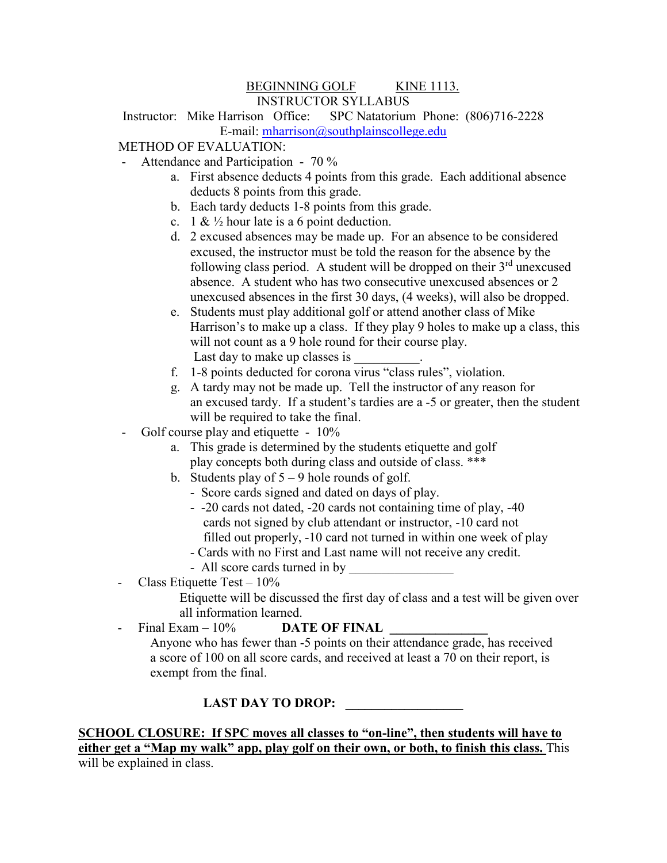#### BEGINNING GOLF KINE 1113. INSTRUCTOR SYLLABUS

Instructor: Mike Harrison Office: SPC Natatorium Phone: (806)716-2228 E-mail: [mharrison@southplainscollege.edu](mailto:mharrison@southplainscollege.edu)

# METHOD OF EVALUATION:

- Attendance and Participation 70 %
	- a. First absence deducts 4 points from this grade. Each additional absence deducts 8 points from this grade.
	- b. Each tardy deducts 1-8 points from this grade.
	- c. 1 &  $\frac{1}{2}$  hour late is a 6 point deduction.
	- d. 2 excused absences may be made up. For an absence to be considered excused, the instructor must be told the reason for the absence by the following class period. A student will be dropped on their  $3<sup>rd</sup>$  unexcused absence. A student who has two consecutive unexcused absences or 2 unexcused absences in the first 30 days, (4 weeks), will also be dropped.
	- e. Students must play additional golf or attend another class of Mike Harrison's to make up a class. If they play 9 holes to make up a class, this will not count as a 9 hole round for their course play. Last day to make up classes is
	- f. 1-8 points deducted for corona virus "class rules", violation.
	- g. A tardy may not be made up. Tell the instructor of any reason for an excused tardy. If a student's tardies are a -5 or greater, then the student will be required to take the final.
- Golf course play and etiquette 10%
	- a. This grade is determined by the students etiquette and golf play concepts both during class and outside of class. \*\*\*
	- b. Students play of  $5 9$  hole rounds of golf.
		- Score cards signed and dated on days of play.
		- -20 cards not dated, -20 cards not containing time of play, -40 cards not signed by club attendant or instructor, -10 card not filled out properly, -10 card not turned in within one week of play
		- Cards with no First and Last name will not receive any credit.
		- All score cards turned in by
- Class Etiquette Test 10%

 Etiquette will be discussed the first day of class and a test will be given over all information learned.

 $Final\ Exam - 10\%$  **DATE OF FINAL**  Anyone who has fewer than -5 points on their attendance grade, has received a score of 100 on all score cards, and received at least a 70 on their report, is exempt from the final.

#### **LAST DAY TO DROP:**

**SCHOOL CLOSURE: If SPC moves all classes to "on-line", then students will have to either get a "Map my walk" app, play golf on their own, or both, to finish this class.** This will be explained in class.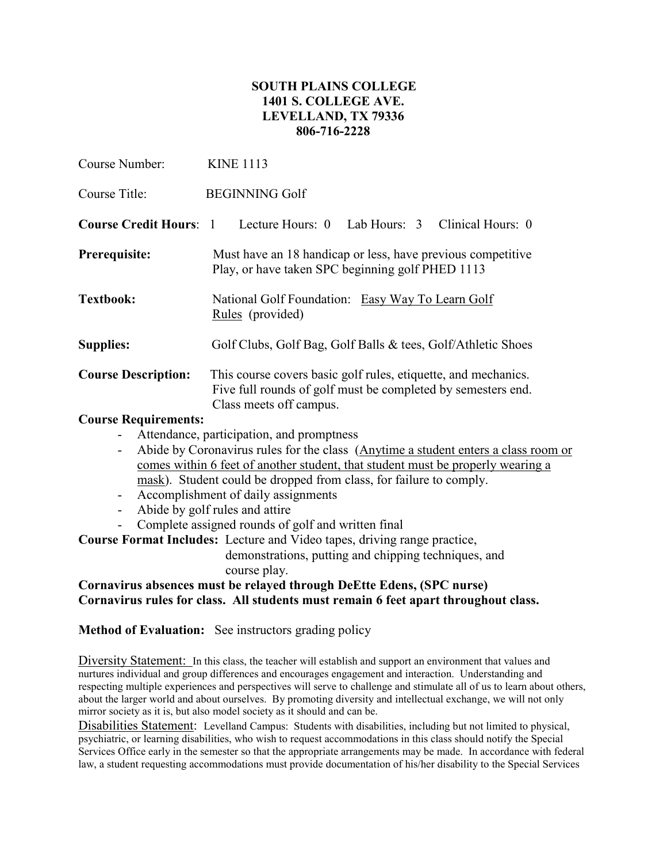## **SOUTH PLAINS COLLEGE 1401 S. COLLEGE AVE. LEVELLAND, TX 79336 806-716-2228**

| Course Number:                | <b>KINE 1113</b>                                                                                                                                          |  |  |
|-------------------------------|-----------------------------------------------------------------------------------------------------------------------------------------------------------|--|--|
| Course Title:                 | <b>BEGINNING Golf</b>                                                                                                                                     |  |  |
| <b>Course Credit Hours: 1</b> | Lecture Hours: 0 Lab Hours: 3 Clinical Hours: 0                                                                                                           |  |  |
| Prerequisite:                 | Must have an 18 handicap or less, have previous competitive<br>Play, or have taken SPC beginning golf PHED 1113                                           |  |  |
| <b>Textbook:</b>              | National Golf Foundation: Easy Way To Learn Golf<br>Rules (provided)                                                                                      |  |  |
| <b>Supplies:</b>              | Golf Clubs, Golf Bag, Golf Balls & tees, Golf/Athletic Shoes                                                                                              |  |  |
| <b>Course Description:</b>    | This course covers basic golf rules, etiquette, and mechanics.<br>Five full rounds of golf must be completed by semesters end.<br>Class meets off campus. |  |  |

#### **Course Requirements:**

- Attendance, participation, and promptness
- Abide by Coronavirus rules for the class (Anytime a student enters a class room or comes within 6 feet of another student, that student must be properly wearing a mask). Student could be dropped from class, for failure to comply.
- Accomplishment of daily assignments
- Abide by golf rules and attire
- Complete assigned rounds of golf and written final

**Course Format Includes:** Lecture and Video tapes, driving range practice,

 demonstrations, putting and chipping techniques, and course play.

## **Cornavirus absences must be relayed through DeEtte Edens, (SPC nurse) Cornavirus rules for class. All students must remain 6 feet apart throughout class.**

**Method of Evaluation:** See instructors grading policy

Diversity Statement: In this class, the teacher will establish and support an environment that values and nurtures individual and group differences and encourages engagement and interaction. Understanding and respecting multiple experiences and perspectives will serve to challenge and stimulate all of us to learn about others, about the larger world and about ourselves. By promoting diversity and intellectual exchange, we will not only mirror society as it is, but also model society as it should and can be.

Disabilities Statement: Levelland Campus: Students with disabilities, including but not limited to physical, psychiatric, or learning disabilities, who wish to request accommodations in this class should notify the Special Services Office early in the semester so that the appropriate arrangements may be made. In accordance with federal law, a student requesting accommodations must provide documentation of his/her disability to the Special Services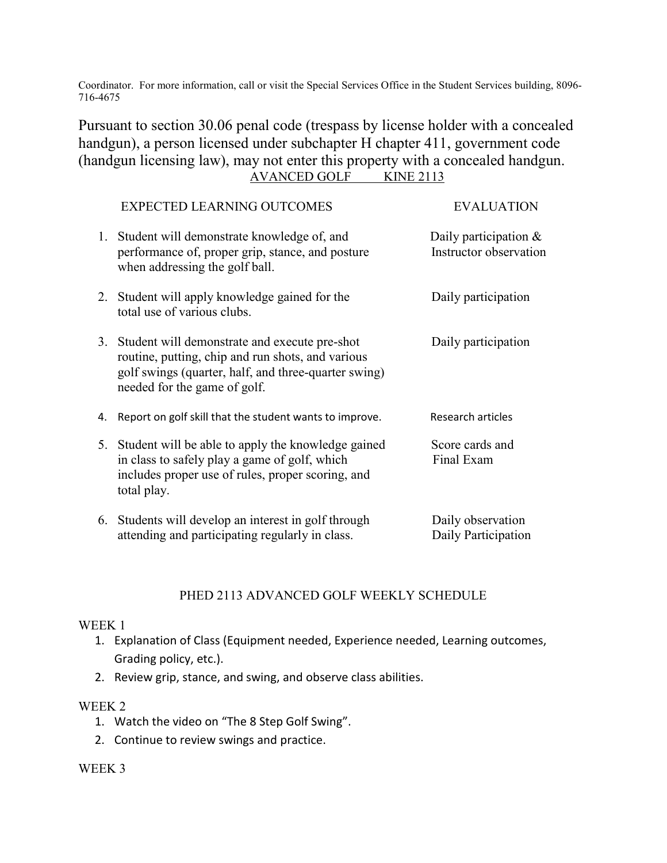Coordinator. For more information, call or visit the Special Services Office in the Student Services building, 8096- 716-4675

Pursuant to section 30.06 penal code (trespass by license holder with a concealed handgun), a person licensed under subchapter H chapter 411, government code (handgun licensing law), may not enter this property with a concealed handgun. AVANCED GOLF KINE 2113

|    | <b>EXPECTED LEARNING OUTCOMES</b>                                                                                                                                                             | <b>EVALUATION</b>                                  |
|----|-----------------------------------------------------------------------------------------------------------------------------------------------------------------------------------------------|----------------------------------------------------|
|    | 1. Student will demonstrate knowledge of, and<br>performance of, proper grip, stance, and posture<br>when addressing the golf ball.                                                           | Daily participation $\&$<br>Instructor observation |
|    | 2. Student will apply knowledge gained for the<br>total use of various clubs.                                                                                                                 | Daily participation                                |
|    | 3. Student will demonstrate and execute pre-shot<br>routine, putting, chip and run shots, and various<br>golf swings (quarter, half, and three-quarter swing)<br>needed for the game of golf. | Daily participation                                |
| 4. | Report on golf skill that the student wants to improve.                                                                                                                                       | Research articles                                  |
|    | 5. Student will be able to apply the knowledge gained<br>in class to safely play a game of golf, which<br>includes proper use of rules, proper scoring, and<br>total play.                    | Score cards and<br>Final Exam                      |
|    | 6. Students will develop an interest in golf through<br>attending and participating regularly in class.                                                                                       | Daily observation<br>Daily Participation           |

## PHED 2113 ADVANCED GOLF WEEKLY SCHEDULE

#### WEEK 1

- 1. Explanation of Class (Equipment needed, Experience needed, Learning outcomes, Grading policy, etc.).
- 2. Review grip, stance, and swing, and observe class abilities.

#### WEEK 2

- 1. Watch the video on "The 8 Step Golf Swing".
- 2. Continue to review swings and practice.

#### WEEK 3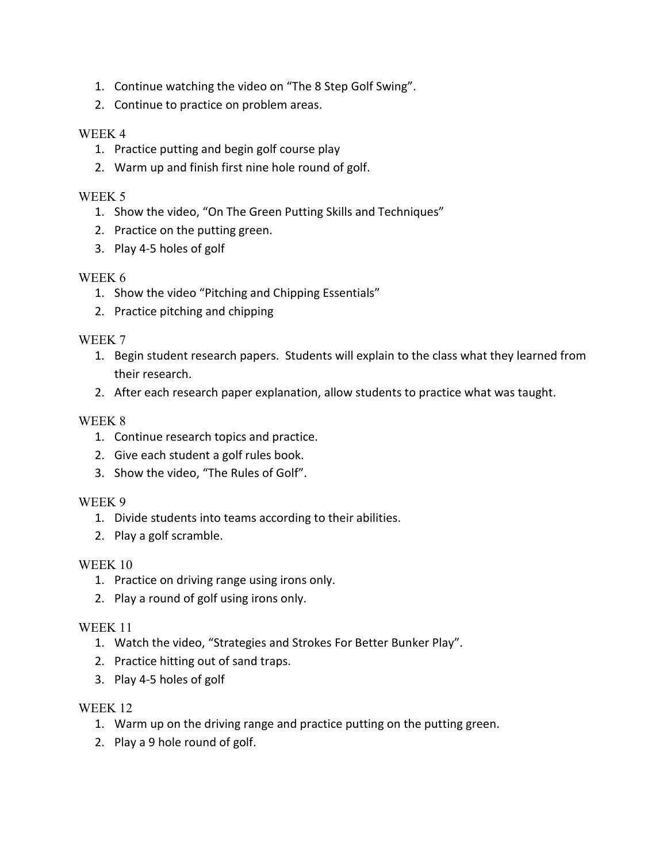- 1. Continue watching the video on "The 8 Step Golf Swing".
- 2. Continue to practice on problem areas.

## WEEK 4

- 1. Practice putting and begin golf course play
- 2. Warm up and finish first nine hole round of golf.

# WEEK 5

- 1. Show the video, "On The Green Putting Skills and Techniques"
- 2. Practice on the putting green.
- 3. Play 4-5 holes of golf

## WEEK 6

- 1. Show the video "Pitching and Chipping Essentials"
- 2. Practice pitching and chipping

## WEEK 7

- 1. Begin student research papers. Students will explain to the class what they learned from their research.
- 2. After each research paper explanation, allow students to practice what was taught.

# WEEK 8

- 1. Continue research topics and practice.
- 2. Give each student a golf rules book.
- 3. Show the video, "The Rules of Golf".

## WEEK 9

- 1. Divide students into teams according to their abilities.
- 2. Play a golf scramble.

## WEEK 10

- 1. Practice on driving range using irons only.
- 2. Play a round of golf using irons only.

# WEEK 11

- 1. Watch the video, "Strategies and Strokes For Better Bunker Play".
- 2. Practice hitting out of sand traps.
- 3. Play 4-5 holes of golf

## WEEK 12

- 1. Warm up on the driving range and practice putting on the putting green.
- 2. Play a 9 hole round of golf.